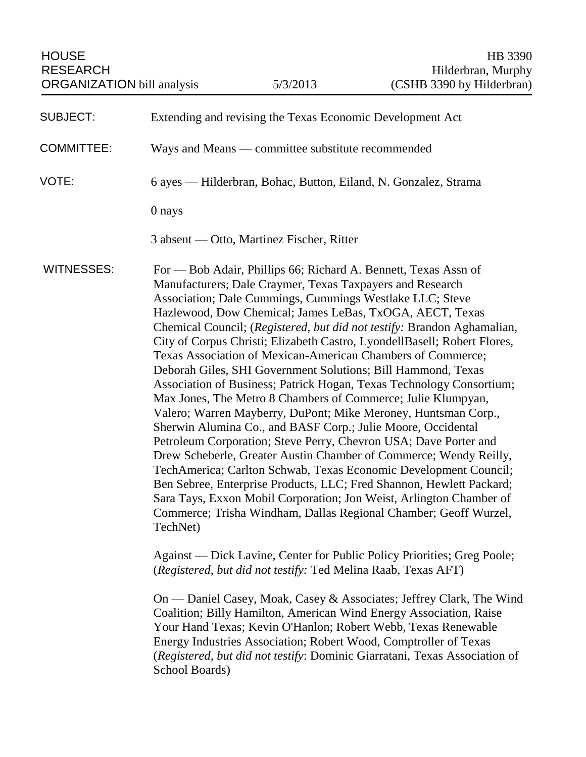| <b>SUBJECT:</b>   | Extending and revising the Texas Economic Development Act                                                                                                                                                                                                                                                                                                                                                                                                                                                                                                                                                                                                                                                                                                                                                                                                                                                                                                                                                                                                                                                                                                                                                                                                                                                                                                                                                                                                                                                                                                                                                                                                                                                                                                                                       |
|-------------------|-------------------------------------------------------------------------------------------------------------------------------------------------------------------------------------------------------------------------------------------------------------------------------------------------------------------------------------------------------------------------------------------------------------------------------------------------------------------------------------------------------------------------------------------------------------------------------------------------------------------------------------------------------------------------------------------------------------------------------------------------------------------------------------------------------------------------------------------------------------------------------------------------------------------------------------------------------------------------------------------------------------------------------------------------------------------------------------------------------------------------------------------------------------------------------------------------------------------------------------------------------------------------------------------------------------------------------------------------------------------------------------------------------------------------------------------------------------------------------------------------------------------------------------------------------------------------------------------------------------------------------------------------------------------------------------------------------------------------------------------------------------------------------------------------|
| <b>COMMITTEE:</b> | Ways and Means — committee substitute recommended                                                                                                                                                                                                                                                                                                                                                                                                                                                                                                                                                                                                                                                                                                                                                                                                                                                                                                                                                                                                                                                                                                                                                                                                                                                                                                                                                                                                                                                                                                                                                                                                                                                                                                                                               |
| VOTE:             | 6 ayes — Hilderbran, Bohac, Button, Eiland, N. Gonzalez, Strama                                                                                                                                                                                                                                                                                                                                                                                                                                                                                                                                                                                                                                                                                                                                                                                                                                                                                                                                                                                                                                                                                                                                                                                                                                                                                                                                                                                                                                                                                                                                                                                                                                                                                                                                 |
|                   | 0 nays                                                                                                                                                                                                                                                                                                                                                                                                                                                                                                                                                                                                                                                                                                                                                                                                                                                                                                                                                                                                                                                                                                                                                                                                                                                                                                                                                                                                                                                                                                                                                                                                                                                                                                                                                                                          |
|                   | 3 absent — Otto, Martinez Fischer, Ritter                                                                                                                                                                                                                                                                                                                                                                                                                                                                                                                                                                                                                                                                                                                                                                                                                                                                                                                                                                                                                                                                                                                                                                                                                                                                                                                                                                                                                                                                                                                                                                                                                                                                                                                                                       |
| <b>WITNESSES:</b> | For — Bob Adair, Phillips 66; Richard A. Bennett, Texas Assn of<br>Manufacturers; Dale Craymer, Texas Taxpayers and Research<br>Association; Dale Cummings, Cummings Westlake LLC; Steve<br>Hazlewood, Dow Chemical; James LeBas, TxOGA, AECT, Texas<br>Chemical Council; (Registered, but did not testify: Brandon Aghamalian,<br>City of Corpus Christi; Elizabeth Castro, LyondellBasell; Robert Flores,<br>Texas Association of Mexican-American Chambers of Commerce;<br>Deborah Giles, SHI Government Solutions; Bill Hammond, Texas<br>Association of Business; Patrick Hogan, Texas Technology Consortium;<br>Max Jones, The Metro 8 Chambers of Commerce; Julie Klumpyan,<br>Valero; Warren Mayberry, DuPont; Mike Meroney, Huntsman Corp.,<br>Sherwin Alumina Co., and BASF Corp.; Julie Moore, Occidental<br>Petroleum Corporation; Steve Perry, Chevron USA; Dave Porter and<br>Drew Scheberle, Greater Austin Chamber of Commerce; Wendy Reilly,<br>TechAmerica; Carlton Schwab, Texas Economic Development Council;<br>Ben Sebree, Enterprise Products, LLC; Fred Shannon, Hewlett Packard;<br>Sara Tays, Exxon Mobil Corporation; Jon Weist, Arlington Chamber of<br>Commerce; Trisha Windham, Dallas Regional Chamber; Geoff Wurzel,<br>TechNet)<br>Against — Dick Lavine, Center for Public Policy Priorities; Greg Poole;<br>(Registered, but did not testify: Ted Melina Raab, Texas AFT)<br>On — Daniel Casey, Moak, Casey & Associates; Jeffrey Clark, The Wind<br>Coalition; Billy Hamilton, American Wind Energy Association, Raise<br>Your Hand Texas; Kevin O'Hanlon; Robert Webb, Texas Renewable<br>Energy Industries Association; Robert Wood, Comptroller of Texas<br>(Registered, but did not testify: Dominic Giarratani, Texas Association of<br>School Boards) |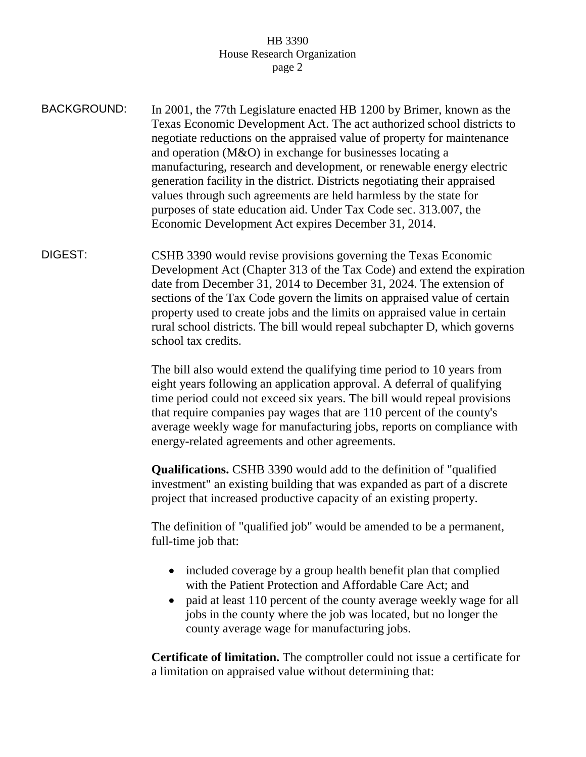| <b>BACKGROUND:</b> | In 2001, the 77th Legislature enacted HB 1200 by Brimer, known as the<br>Texas Economic Development Act. The act authorized school districts to<br>negotiate reductions on the appraised value of property for maintenance<br>and operation (M&O) in exchange for businesses locating a<br>manufacturing, research and development, or renewable energy electric<br>generation facility in the district. Districts negotiating their appraised<br>values through such agreements are held harmless by the state for<br>purposes of state education aid. Under Tax Code sec. 313.007, the<br>Economic Development Act expires December 31, 2014. |
|--------------------|-------------------------------------------------------------------------------------------------------------------------------------------------------------------------------------------------------------------------------------------------------------------------------------------------------------------------------------------------------------------------------------------------------------------------------------------------------------------------------------------------------------------------------------------------------------------------------------------------------------------------------------------------|
| DIGEST:            | CSHB 3390 would revise provisions governing the Texas Economic<br>Development Act (Chapter 313 of the Tax Code) and extend the expiration<br>date from December 31, 2014 to December 31, 2024. The extension of<br>sections of the Tax Code govern the limits on appraised value of certain<br>property used to create jobs and the limits on appraised value in certain<br>rural school districts. The bill would repeal subchapter D, which governs<br>school tax credits.                                                                                                                                                                    |
|                    | The bill also would extend the qualifying time period to 10 years from<br>eight years following an application approval. A deferral of qualifying<br>time period could not exceed six years. The bill would repeal provisions<br>that require companies pay wages that are 110 percent of the county's<br>average weekly wage for manufacturing jobs, reports on compliance with<br>energy-related agreements and other agreements.                                                                                                                                                                                                             |
|                    | <b>Qualifications.</b> CSHB 3390 would add to the definition of "qualified"<br>investment" an existing building that was expanded as part of a discrete<br>project that increased productive capacity of an existing property.                                                                                                                                                                                                                                                                                                                                                                                                                  |
|                    | The definition of "qualified job" would be amended to be a permanent,<br>full-time job that:                                                                                                                                                                                                                                                                                                                                                                                                                                                                                                                                                    |

- included coverage by a group health benefit plan that complied with the Patient Protection and Affordable Care Act; and
- paid at least 110 percent of the county average weekly wage for all jobs in the county where the job was located, but no longer the county average wage for manufacturing jobs.

**Certificate of limitation.** The comptroller could not issue a certificate for a limitation on appraised value without determining that: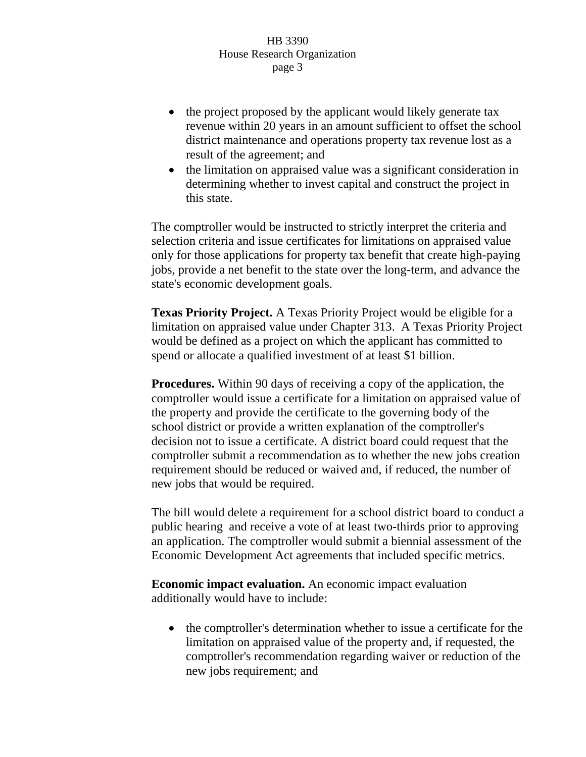- the project proposed by the applicant would likely generate tax revenue within 20 years in an amount sufficient to offset the school district maintenance and operations property tax revenue lost as a result of the agreement; and
- the limitation on appraised value was a significant consideration in determining whether to invest capital and construct the project in this state.

The comptroller would be instructed to strictly interpret the criteria and selection criteria and issue certificates for limitations on appraised value only for those applications for property tax benefit that create high-paying jobs, provide a net benefit to the state over the long-term, and advance the state's economic development goals.

**Texas Priority Project.** A Texas Priority Project would be eligible for a limitation on appraised value under Chapter 313. A Texas Priority Project would be defined as a project on which the applicant has committed to spend or allocate a qualified investment of at least \$1 billion.

**Procedures.** Within 90 days of receiving a copy of the application, the comptroller would issue a certificate for a limitation on appraised value of the property and provide the certificate to the governing body of the school district or provide a written explanation of the comptroller's decision not to issue a certificate. A district board could request that the comptroller submit a recommendation as to whether the new jobs creation requirement should be reduced or waived and, if reduced, the number of new jobs that would be required.

The bill would delete a requirement for a school district board to conduct a public hearing and receive a vote of at least two-thirds prior to approving an application. The comptroller would submit a biennial assessment of the Economic Development Act agreements that included specific metrics.

**Economic impact evaluation.** An economic impact evaluation additionally would have to include:

• the comptroller's determination whether to issue a certificate for the limitation on appraised value of the property and, if requested, the comptroller's recommendation regarding waiver or reduction of the new jobs requirement; and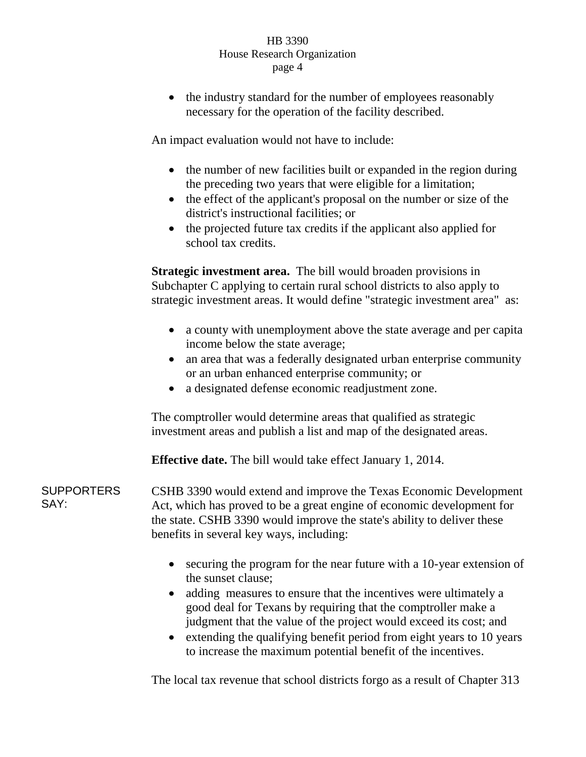• the industry standard for the number of employees reasonably necessary for the operation of the facility described.

An impact evaluation would not have to include:

- the number of new facilities built or expanded in the region during the preceding two years that were eligible for a limitation;
- the effect of the applicant's proposal on the number or size of the district's instructional facilities; or
- the projected future tax credits if the applicant also applied for school tax credits.

**Strategic investment area.** The bill would broaden provisions in Subchapter C applying to certain rural school districts to also apply to strategic investment areas. It would define "strategic investment area" as:

- a county with unemployment above the state average and per capita income below the state average;
- an area that was a federally designated urban enterprise community or an urban enhanced enterprise community; or
- a designated defense economic readjustment zone.

The comptroller would determine areas that qualified as strategic investment areas and publish a list and map of the designated areas.

**Effective date.** The bill would take effect January 1, 2014.

SUPPORTERS SAY: CSHB 3390 would extend and improve the Texas Economic Development Act, which has proved to be a great engine of economic development for the state. CSHB 3390 would improve the state's ability to deliver these benefits in several key ways, including:

- securing the program for the near future with a 10-year extension of the sunset clause;
- adding measures to ensure that the incentives were ultimately a good deal for Texans by requiring that the comptroller make a judgment that the value of the project would exceed its cost; and
- extending the qualifying benefit period from eight years to 10 years to increase the maximum potential benefit of the incentives.

The local tax revenue that school districts forgo as a result of Chapter 313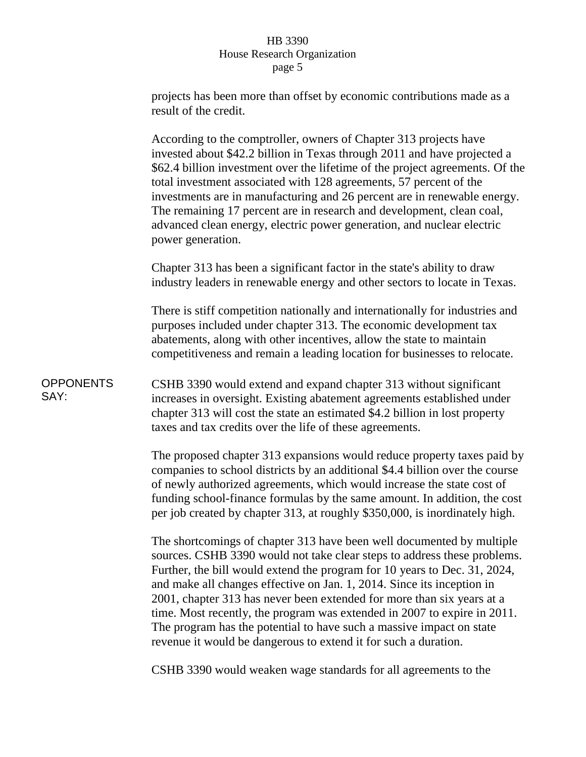|                          | projects has been more than offset by economic contributions made as a<br>result of the credit.                                                                                                                                                                                                                                                                                                                                                                                                                                                                                                           |
|--------------------------|-----------------------------------------------------------------------------------------------------------------------------------------------------------------------------------------------------------------------------------------------------------------------------------------------------------------------------------------------------------------------------------------------------------------------------------------------------------------------------------------------------------------------------------------------------------------------------------------------------------|
|                          | According to the comptroller, owners of Chapter 313 projects have<br>invested about \$42.2 billion in Texas through 2011 and have projected a<br>\$62.4 billion investment over the lifetime of the project agreements. Of the<br>total investment associated with 128 agreements, 57 percent of the<br>investments are in manufacturing and 26 percent are in renewable energy.<br>The remaining 17 percent are in research and development, clean coal,<br>advanced clean energy, electric power generation, and nuclear electric<br>power generation.                                                  |
|                          | Chapter 313 has been a significant factor in the state's ability to draw<br>industry leaders in renewable energy and other sectors to locate in Texas.                                                                                                                                                                                                                                                                                                                                                                                                                                                    |
|                          | There is stiff competition nationally and internationally for industries and<br>purposes included under chapter 313. The economic development tax<br>abatements, along with other incentives, allow the state to maintain<br>competitiveness and remain a leading location for businesses to relocate.                                                                                                                                                                                                                                                                                                    |
| <b>OPPONENTS</b><br>SAY: | CSHB 3390 would extend and expand chapter 313 without significant<br>increases in oversight. Existing abatement agreements established under<br>chapter 313 will cost the state an estimated \$4.2 billion in lost property<br>taxes and tax credits over the life of these agreements.                                                                                                                                                                                                                                                                                                                   |
|                          | The proposed chapter 313 expansions would reduce property taxes paid by<br>companies to school districts by an additional \$4.4 billion over the course<br>of newly authorized agreements, which would increase the state cost of<br>funding school-finance formulas by the same amount. In addition, the cost<br>per job created by chapter 313, at roughly \$350,000, is inordinately high.                                                                                                                                                                                                             |
|                          | The shortcomings of chapter 313 have been well documented by multiple<br>sources. CSHB 3390 would not take clear steps to address these problems.<br>Further, the bill would extend the program for 10 years to Dec. 31, 2024,<br>and make all changes effective on Jan. 1, 2014. Since its inception in<br>2001, chapter 313 has never been extended for more than six years at a<br>time. Most recently, the program was extended in 2007 to expire in 2011.<br>The program has the potential to have such a massive impact on state<br>revenue it would be dangerous to extend it for such a duration. |
|                          | CSHB 3390 would weaken wage standards for all agreements to the                                                                                                                                                                                                                                                                                                                                                                                                                                                                                                                                           |